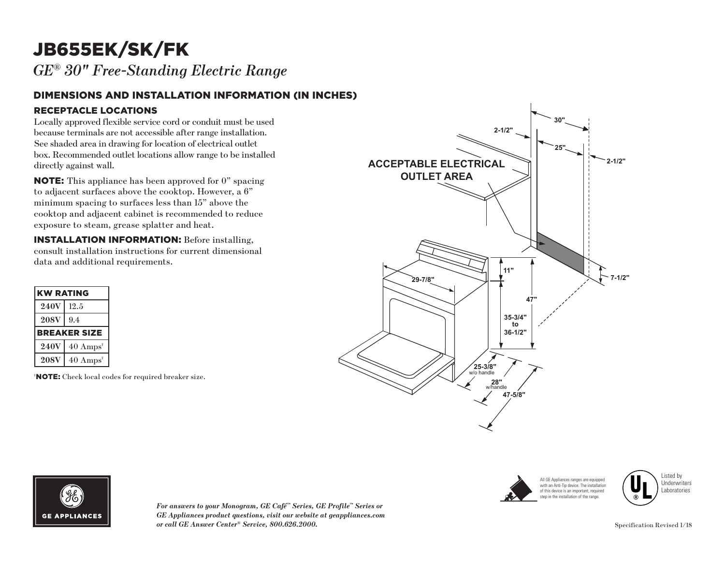## JB655EK/SK/FK

*GE® 30" Free-Standing Electric Range*

## DIMENSIONS AND INSTALLATION INFORMATION (IN INCHES) RECEPTACLE LOCATIONS

Locally approved flexible service cord or conduit must be used because terminals are not accessible after range installation. See shaded area in drawing for location of electrical outlet box. Recommended outlet locations allow range to be installed directly against wall.

NOTE: This appliance has been approved for 0" spacing to adjacent surfaces above the cooktop. However, a 6" minimum spacing to surfaces less than 15" above the cooktop and adjacent cabinet is recommended to reduce exposure to steam, grease splatter and heat.

INSTALLATION INFORMATION: Before installing, consult installation instructions for current dimensional data and additional requirements.

| <b>KW RATING</b>    |                             |
|---------------------|-----------------------------|
| <b>240V</b>         | 12.5                        |
| <b>208V</b>         | 9.4                         |
| <b>BREAKER SIZE</b> |                             |
| <b>240V</b>         | $40 \text{ Amps}^*$         |
| <b>208V</b>         | $40 \text{ Amps}^{\dagger}$ |

† NOTE: Check local codes for required breaker size.









*For answers to your Monogram, GE Café™ Series, GE Profile™ Series or GE Appliances product questions, visit our website at geappliances.com or call GE Answer Center® Service, 800.626.2000.*

Specification Revised 1/18